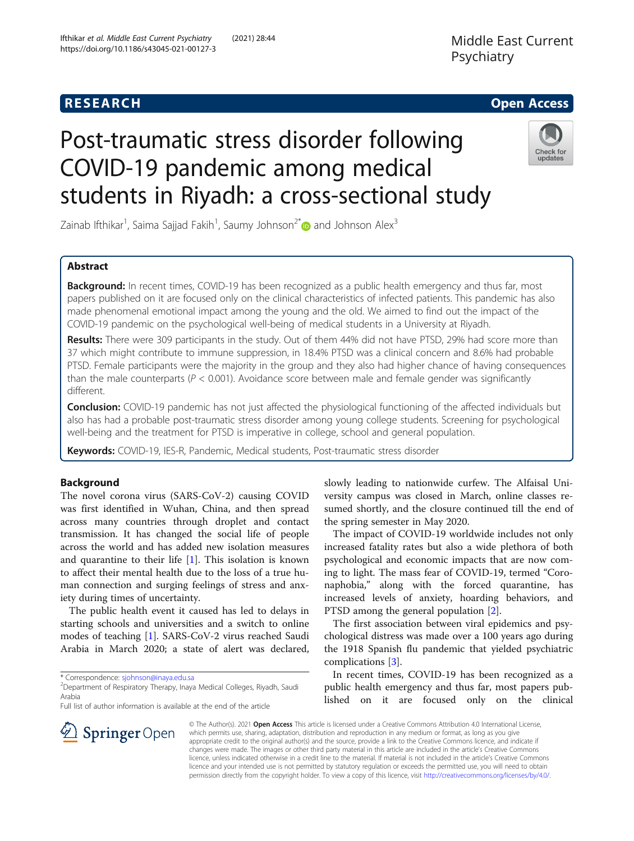# Middle East Current Psychiatry

# **RESEARCH CHE Open Access**

# Post-traumatic stress disorder following COVID-19 pandemic among medical students in Riyadh: a cross-sectional study



Zainab Ifthikar<sup>1</sup>, Saima Sajjad Fakih<sup>1</sup>, Saumy Johnson<sup>2[\\*](http://orcid.org/0000-0002-3582-8030)</sup> $\textcolor{red}{\bullet}$  and Johnson Alex $^3$ 

## Abstract

**Background:** In recent times, COVID-19 has been recognized as a public health emergency and thus far, most papers published on it are focused only on the clinical characteristics of infected patients. This pandemic has also made phenomenal emotional impact among the young and the old. We aimed to find out the impact of the COVID-19 pandemic on the psychological well-being of medical students in a University at Riyadh.

Results: There were 309 participants in the study. Out of them 44% did not have PTSD, 29% had score more than 37 which might contribute to immune suppression, in 18.4% PTSD was a clinical concern and 8.6% had probable PTSD. Female participants were the majority in the group and they also had higher chance of having consequences than the male counterparts ( $P < 0.001$ ). Avoidance score between male and female gender was significantly different.

Conclusion: COVID-19 pandemic has not just affected the physiological functioning of the affected individuals but also has had a probable post-traumatic stress disorder among young college students. Screening for psychological well-being and the treatment for PTSD is imperative in college, school and general population.

Keywords: COVID-19, IES-R, Pandemic, Medical students, Post-traumatic stress disorder

### Background

The novel corona virus (SARS-CoV-2) causing COVID was first identified in Wuhan, China, and then spread across many countries through droplet and contact transmission. It has changed the social life of people across the world and has added new isolation measures and quarantine to their life  $[1]$  $[1]$ . This isolation is known to affect their mental health due to the loss of a true human connection and surging feelings of stress and anxiety during times of uncertainty.

The public health event it caused has led to delays in starting schools and universities and a switch to online modes of teaching [\[1\]](#page-5-0). SARS-CoV-2 virus reached Saudi Arabia in March 2020; a state of alert was declared,

\* Correspondence: [sjohnson@inaya.edu.sa](mailto:sjohnson@inaya.edu.sa) <sup>2</sup>

 $\mathcal{D}$  Springer Open

Department of Respiratory Therapy, Inaya Medical Colleges, Riyadh, Saudi Arabia

Full list of author information is available at the end of the article

slowly leading to nationwide curfew. The Alfaisal University campus was closed in March, online classes resumed shortly, and the closure continued till the end of the spring semester in May 2020.

The impact of COVID-19 worldwide includes not only increased fatality rates but also a wide plethora of both psychological and economic impacts that are now coming to light. The mass fear of COVID-19, termed "Coronaphobia," along with the forced quarantine, has increased levels of anxiety, hoarding behaviors, and PTSD among the general population [\[2](#page-5-0)].

The first association between viral epidemics and psychological distress was made over a 100 years ago during the 1918 Spanish flu pandemic that yielded psychiatric complications [[3\]](#page-5-0).

In recent times, COVID-19 has been recognized as a public health emergency and thus far, most papers published on it are focused only on the clinical

© The Author(s). 2021 Open Access This article is licensed under a Creative Commons Attribution 4.0 International License, which permits use, sharing, adaptation, distribution and reproduction in any medium or format, as long as you give appropriate credit to the original author(s) and the source, provide a link to the Creative Commons licence, and indicate if changes were made. The images or other third party material in this article are included in the article's Creative Commons licence, unless indicated otherwise in a credit line to the material. If material is not included in the article's Creative Commons licence and your intended use is not permitted by statutory regulation or exceeds the permitted use, you will need to obtain permission directly from the copyright holder. To view a copy of this licence, visit <http://creativecommons.org/licenses/by/4.0/>.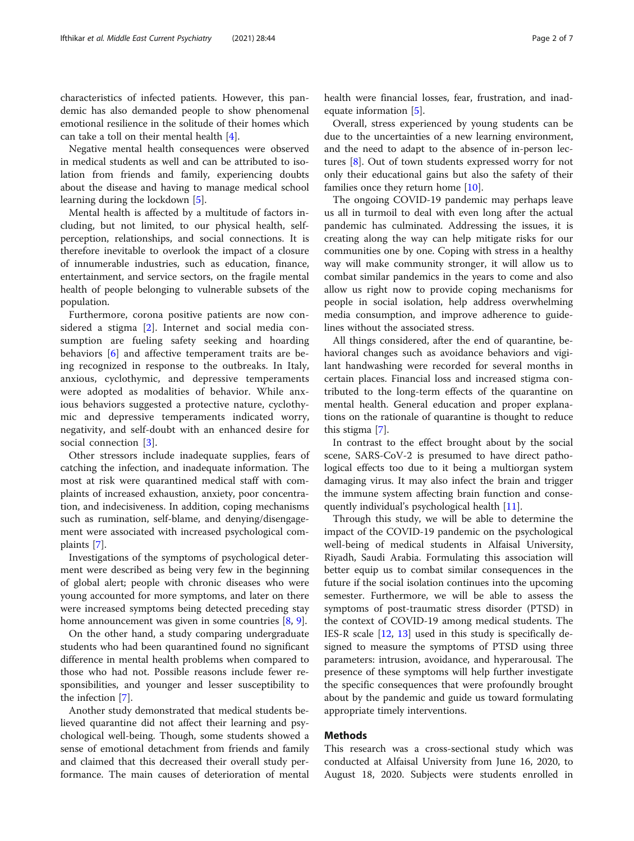characteristics of infected patients. However, this pandemic has also demanded people to show phenomenal emotional resilience in the solitude of their homes which can take a toll on their mental health [\[4](#page-5-0)].

Negative mental health consequences were observed in medical students as well and can be attributed to isolation from friends and family, experiencing doubts about the disease and having to manage medical school learning during the lockdown [\[5](#page-5-0)].

Mental health is affected by a multitude of factors including, but not limited, to our physical health, selfperception, relationships, and social connections. It is therefore inevitable to overlook the impact of a closure of innumerable industries, such as education, finance, entertainment, and service sectors, on the fragile mental health of people belonging to vulnerable subsets of the population.

Furthermore, corona positive patients are now considered a stigma [\[2](#page-5-0)]. Internet and social media consumption are fueling safety seeking and hoarding behaviors [[6\]](#page-5-0) and affective temperament traits are being recognized in response to the outbreaks. In Italy, anxious, cyclothymic, and depressive temperaments were adopted as modalities of behavior. While anxious behaviors suggested a protective nature, cyclothymic and depressive temperaments indicated worry, negativity, and self-doubt with an enhanced desire for social connection [\[3](#page-5-0)].

Other stressors include inadequate supplies, fears of catching the infection, and inadequate information. The most at risk were quarantined medical staff with complaints of increased exhaustion, anxiety, poor concentration, and indecisiveness. In addition, coping mechanisms such as rumination, self-blame, and denying/disengagement were associated with increased psychological complaints [[7\]](#page-5-0).

Investigations of the symptoms of psychological determent were described as being very few in the beginning of global alert; people with chronic diseases who were young accounted for more symptoms, and later on there were increased symptoms being detected preceding stay home announcement was given in some countries [\[8](#page-5-0), [9](#page-5-0)].

On the other hand, a study comparing undergraduate students who had been quarantined found no significant difference in mental health problems when compared to those who had not. Possible reasons include fewer responsibilities, and younger and lesser susceptibility to the infection [[7](#page-5-0)].

Another study demonstrated that medical students believed quarantine did not affect their learning and psychological well-being. Though, some students showed a sense of emotional detachment from friends and family and claimed that this decreased their overall study performance. The main causes of deterioration of mental health were financial losses, fear, frustration, and inadequate information [\[5](#page-5-0)].

Overall, stress experienced by young students can be due to the uncertainties of a new learning environment, and the need to adapt to the absence of in-person lectures [[8\]](#page-5-0). Out of town students expressed worry for not only their educational gains but also the safety of their families once they return home [\[10](#page-5-0)].

The ongoing COVID-19 pandemic may perhaps leave us all in turmoil to deal with even long after the actual pandemic has culminated. Addressing the issues, it is creating along the way can help mitigate risks for our communities one by one. Coping with stress in a healthy way will make community stronger, it will allow us to combat similar pandemics in the years to come and also allow us right now to provide coping mechanisms for people in social isolation, help address overwhelming media consumption, and improve adherence to guidelines without the associated stress.

All things considered, after the end of quarantine, behavioral changes such as avoidance behaviors and vigilant handwashing were recorded for several months in certain places. Financial loss and increased stigma contributed to the long-term effects of the quarantine on mental health. General education and proper explanations on the rationale of quarantine is thought to reduce this stigma [\[7](#page-5-0)].

In contrast to the effect brought about by the social scene, SARS-CoV-2 is presumed to have direct pathological effects too due to it being a multiorgan system damaging virus. It may also infect the brain and trigger the immune system affecting brain function and consequently individual's psychological health [[11\]](#page-5-0).

Through this study, we will be able to determine the impact of the COVID-19 pandemic on the psychological well-being of medical students in Alfaisal University, Riyadh, Saudi Arabia. Formulating this association will better equip us to combat similar consequences in the future if the social isolation continues into the upcoming semester. Furthermore, we will be able to assess the symptoms of post-traumatic stress disorder (PTSD) in the context of COVID-19 among medical students. The IES-R scale [[12,](#page-5-0) [13](#page-5-0)] used in this study is specifically designed to measure the symptoms of PTSD using three parameters: intrusion, avoidance, and hyperarousal. The presence of these symptoms will help further investigate the specific consequences that were profoundly brought about by the pandemic and guide us toward formulating appropriate timely interventions.

#### Methods

This research was a cross-sectional study which was conducted at Alfaisal University from June 16, 2020, to August 18, 2020. Subjects were students enrolled in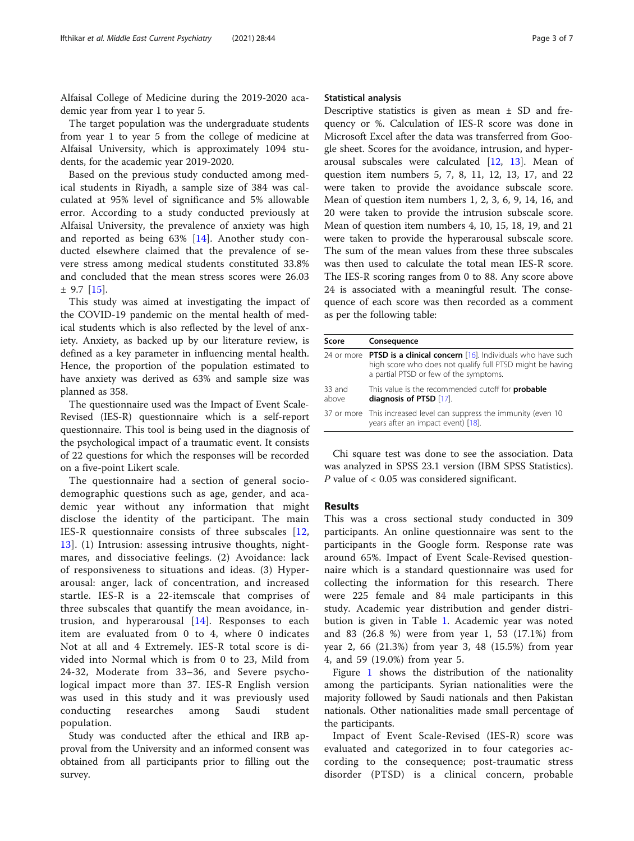Alfaisal College of Medicine during the 2019-2020 academic year from year 1 to year 5.

The target population was the undergraduate students from year 1 to year 5 from the college of medicine at Alfaisal University, which is approximately 1094 students, for the academic year 2019-2020.

Based on the previous study conducted among medical students in Riyadh, a sample size of 384 was calculated at 95% level of significance and 5% allowable error. According to a study conducted previously at Alfaisal University, the prevalence of anxiety was high and reported as being 63% [[14](#page-5-0)]. Another study conducted elsewhere claimed that the prevalence of severe stress among medical students constituted 33.8% and concluded that the mean stress scores were 26.03 ± 9.7 [[15\]](#page-5-0).

This study was aimed at investigating the impact of the COVID-19 pandemic on the mental health of medical students which is also reflected by the level of anxiety. Anxiety, as backed up by our literature review, is defined as a key parameter in influencing mental health. Hence, the proportion of the population estimated to have anxiety was derived as 63% and sample size was planned as 358.

The questionnaire used was the Impact of Event Scale-Revised (IES-R) questionnaire which is a self-report questionnaire. This tool is being used in the diagnosis of the psychological impact of a traumatic event. It consists of 22 questions for which the responses will be recorded on a five-point Likert scale.

The questionnaire had a section of general sociodemographic questions such as age, gender, and academic year without any information that might disclose the identity of the participant. The main IES-R questionnaire consists of three subscales [\[12](#page-5-0), [13\]](#page-5-0). (1) Intrusion: assessing intrusive thoughts, nightmares, and dissociative feelings. (2) Avoidance: lack of responsiveness to situations and ideas. (3) Hyperarousal: anger, lack of concentration, and increased startle. IES-R is a 22-itemscale that comprises of three subscales that quantify the mean avoidance, intrusion, and hyperarousal [[14](#page-5-0)]. Responses to each item are evaluated from 0 to 4, where 0 indicates Not at all and 4 Extremely. IES-R total score is divided into Normal which is from 0 to 23, Mild from 24-32, Moderate from 33–36, and Severe psychological impact more than 37. IES-R English version was used in this study and it was previously used conducting researches among Saudi student population.

Study was conducted after the ethical and IRB approval from the University and an informed consent was obtained from all participants prior to filling out the survey.

#### Statistical analysis

Descriptive statistics is given as mean  $\pm$  SD and frequency or %. Calculation of IES-R score was done in Microsoft Excel after the data was transferred from Google sheet. Scores for the avoidance, intrusion, and hyperarousal subscales were calculated [[12,](#page-5-0) [13\]](#page-5-0). Mean of question item numbers 5, 7, 8, 11, 12, 13, 17, and 22 were taken to provide the avoidance subscale score. Mean of question item numbers 1, 2, 3, 6, 9, 14, 16, and 20 were taken to provide the intrusion subscale score. Mean of question item numbers 4, 10, 15, 18, 19, and 21 were taken to provide the hyperarousal subscale score. The sum of the mean values from these three subscales was then used to calculate the total mean IES-R score. The IES-R scoring ranges from 0 to 88. Any score above 24 is associated with a meaningful result. The consequence of each score was then recorded as a comment as per the following table:

| Score           | Consequence                                                                                                                                                                         |
|-----------------|-------------------------------------------------------------------------------------------------------------------------------------------------------------------------------------|
|                 | 24 or more <b>PTSD is a clinical concern</b> [16]. Individuals who have such<br>high score who does not qualify full PTSD might be having<br>a partial PTSD or few of the symptoms. |
| 33 and<br>above | This value is the recommended cutoff for <b>probable</b><br>diagnosis of PTSD [17].                                                                                                 |
|                 | 37 or more This increased level can suppress the immunity (even 10<br>years after an impact event) [18].                                                                            |

Chi square test was done to see the association. Data was analyzed in SPSS 23.1 version (IBM SPSS Statistics). P value of < 0.05 was considered significant.

#### Results

This was a cross sectional study conducted in 309 participants. An online questionnaire was sent to the participants in the Google form. Response rate was around 65%. Impact of Event Scale-Revised questionnaire which is a standard questionnaire was used for collecting the information for this research. There were 225 female and 84 male participants in this study. Academic year distribution and gender distribution is given in Table [1](#page-3-0). Academic year was noted and 83 (26.8 %) were from year 1, 53 (17.1%) from year 2, 66 (21.3%) from year 3, 48 (15.5%) from year 4, and 59 (19.0%) from year 5.

Figure [1](#page-3-0) shows the distribution of the nationality among the participants. Syrian nationalities were the majority followed by Saudi nationals and then Pakistan nationals. Other nationalities made small percentage of the participants.

Impact of Event Scale-Revised (IES-R) score was evaluated and categorized in to four categories according to the consequence; post-traumatic stress disorder (PTSD) is a clinical concern, probable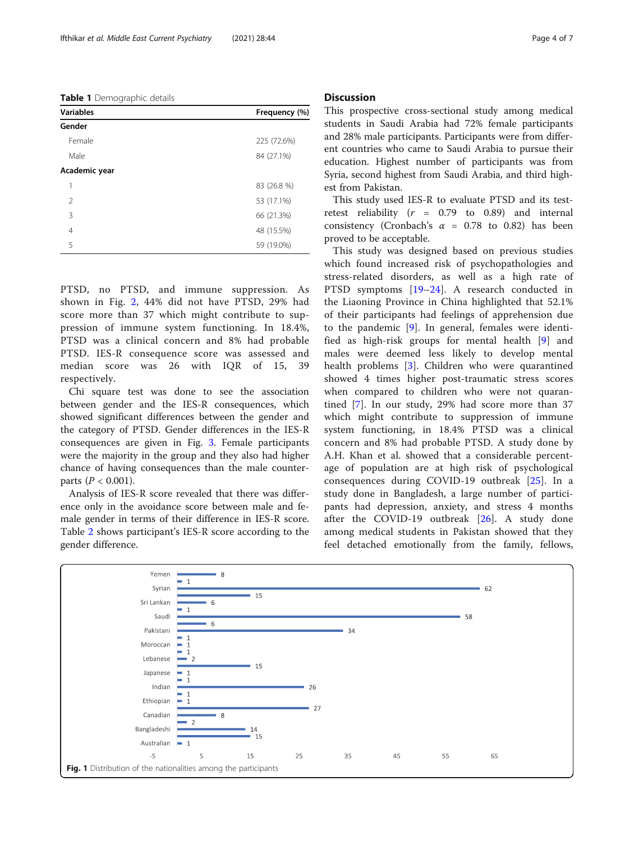<span id="page-3-0"></span>Table 1 Demographic details

| <b>Variables</b> | Frequency (%) |
|------------------|---------------|
| Gender           |               |
| Female           | 225 (72.6%)   |
| Male             | 84 (27.1%)    |
| Academic year    |               |
| 1                | 83 (26.8 %)   |
| $\mathfrak{D}$   | 53 (17.1%)    |
| 3                | 66 (21.3%)    |
| $\overline{4}$   | 48 (15.5%)    |
| 5                | 59 (19.0%)    |

PTSD, no PTSD, and immune suppression. As shown in Fig. [2](#page-4-0), 44% did not have PTSD, 29% had score more than 37 which might contribute to suppression of immune system functioning. In 18.4%, PTSD was a clinical concern and 8% had probable PTSD. IES-R consequence score was assessed and median score was 26 with IQR of 15, 39 respectively.

Chi square test was done to see the association between gender and the IES-R consequences, which showed significant differences between the gender and the category of PTSD. Gender differences in the IES-R consequences are given in Fig. [3.](#page-4-0) Female participants were the majority in the group and they also had higher chance of having consequences than the male counterparts ( $P < 0.001$ ).

Analysis of IES-R score revealed that there was difference only in the avoidance score between male and female gender in terms of their difference in IES-R score. Table [2](#page-5-0) shows participant's IES-R score according to the gender difference.

#### **Discussion**

This prospective cross-sectional study among medical students in Saudi Arabia had 72% female participants and 28% male participants. Participants were from different countries who came to Saudi Arabia to pursue their education. Highest number of participants was from Syria, second highest from Saudi Arabia, and third highest from Pakistan.

This study used IES-R to evaluate PTSD and its testretest reliability ( $r = 0.79$  to 0.89) and internal consistency (Cronbach's  $\alpha$  = 0.78 to 0.82) has been proved to be acceptable.

This study was designed based on previous studies which found increased risk of psychopathologies and stress-related disorders, as well as a high rate of PTSD symptoms [[19](#page-6-0)–[24](#page-6-0)]. A research conducted in the Liaoning Province in China highlighted that 52.1% of their participants had feelings of apprehension due to the pandemic [\[9](#page-5-0)]. In general, females were identified as high-risk groups for mental health [[9\]](#page-5-0) and males were deemed less likely to develop mental health problems [[3](#page-5-0)]. Children who were quarantined showed 4 times higher post-traumatic stress scores when compared to children who were not quarantined [[7\]](#page-5-0). In our study, 29% had score more than 37 which might contribute to suppression of immune system functioning, in 18.4% PTSD was a clinical concern and 8% had probable PTSD. A study done by A.H. Khan et al. showed that a considerable percentage of population are at high risk of psychological consequences during COVID-19 outbreak [\[25](#page-6-0)]. In a study done in Bangladesh, a large number of participants had depression, anxiety, and stress 4 months after the COVID-19 outbreak [[26\]](#page-6-0). A study done among medical students in Pakistan showed that they feel detached emotionally from the family, fellows,

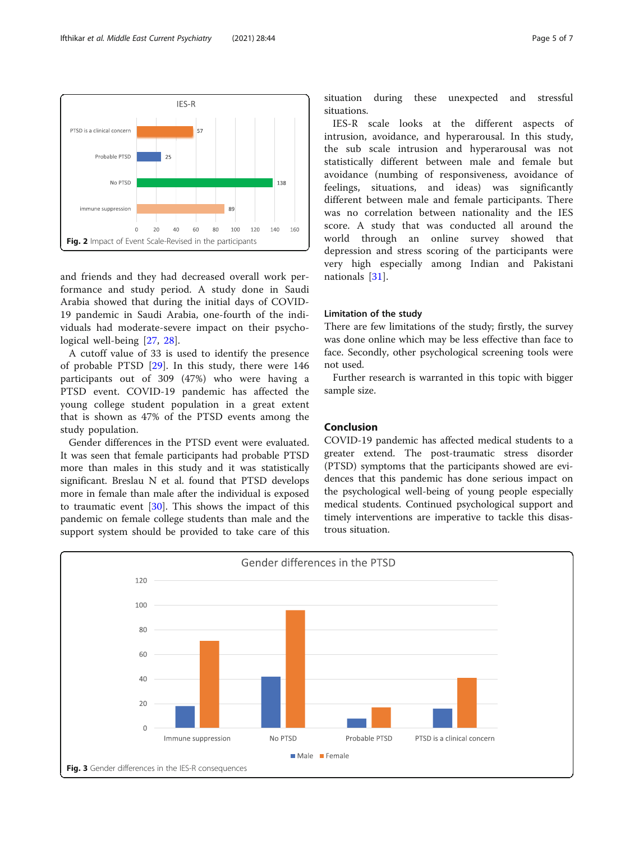and friends and they had decreased overall work performance and study period. A study done in Saudi Arabia showed that during the initial days of COVID-19 pandemic in Saudi Arabia, one-fourth of the individuals had moderate-severe impact on their psychological well-being [[27,](#page-6-0) [28\]](#page-6-0).

Fig. 2 Impact of Event Scale-Revised in the participants

<span id="page-4-0"></span>PTSD is a clinical concern

Probable PTSD

immune suppression

No PTSD

 $\overline{0}$  $20$ 40 60  $80$ 100 120 140 160

A cutoff value of 33 is used to identify the presence of probable PTSD [[29\]](#page-6-0). In this study, there were 146 participants out of 309 (47%) who were having a PTSD event. COVID-19 pandemic has affected the young college student population in a great extent that is shown as 47% of the PTSD events among the study population.

Gender differences in the PTSD event were evaluated. It was seen that female participants had probable PTSD more than males in this study and it was statistically significant. Breslau N et al. found that PTSD develops more in female than male after the individual is exposed to traumatic event [\[30](#page-6-0)]. This shows the impact of this pandemic on female college students than male and the support system should be provided to take care of this

situation during these unexpected and stressful situations.

IES-R scale looks at the different aspects of intrusion, avoidance, and hyperarousal. In this study, the sub scale intrusion and hyperarousal was not statistically different between male and female but avoidance (numbing of responsiveness, avoidance of feelings, situations, and ideas) was significantly different between male and female participants. There was no correlation between nationality and the IES score. A study that was conducted all around the world through an online survey showed that depression and stress scoring of the participants were very high especially among Indian and Pakistani nationals [[31\]](#page-6-0).

#### Limitation of the study

There are few limitations of the study; firstly, the survey was done online which may be less effective than face to face. Secondly, other psychological screening tools were not used.

Further research is warranted in this topic with bigger sample size.

#### Conclusion

COVID-19 pandemic has affected medical students to a greater extend. The post-traumatic stress disorder (PTSD) symptoms that the participants showed are evidences that this pandemic has done serious impact on the psychological well-being of young people especially medical students. Continued psychological support and timely interventions are imperative to tackle this disastrous situation.



IES-R

138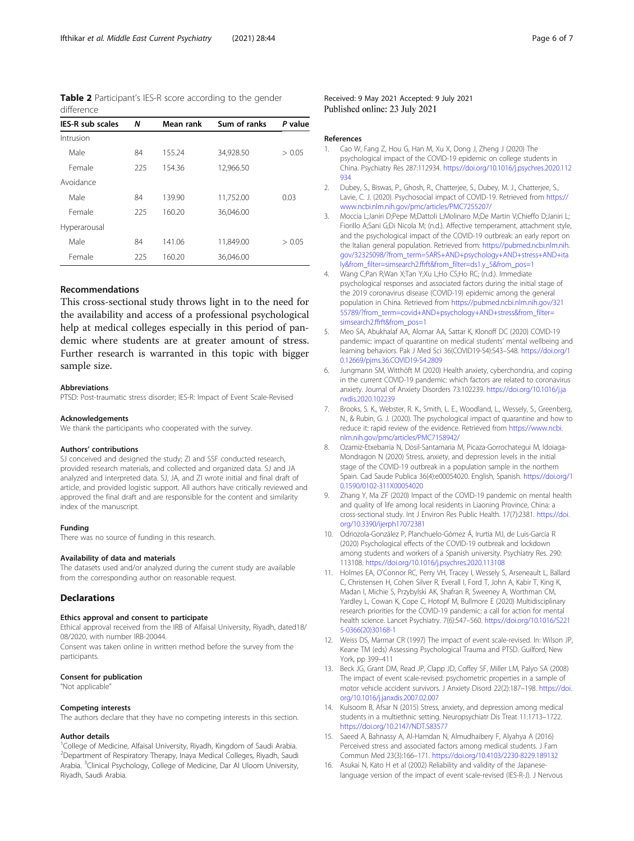<span id="page-5-0"></span>Table 2 Participant's IES-R score according to the gender difference

| <b>IES-R sub scales</b> | N   | Mean rank | Sum of ranks | P value |
|-------------------------|-----|-----------|--------------|---------|
| Intrusion               |     |           |              |         |
| Male                    | 84  | 155.24    | 34,928.50    | > 0.05  |
| Female                  | 225 | 154.36    | 12,966.50    |         |
| Avoidance               |     |           |              |         |
| Male                    | 84  | 139.90    | 11,752.00    | 0.03    |
| Female                  | 225 | 160.20    | 36,046.00    |         |
| Hyperarousal            |     |           |              |         |
| Male                    | 84  | 141.06    | 11,849.00    | > 0.05  |
| Female                  | 225 | 160.20    | 36,046.00    |         |

#### Recommendations

This cross-sectional study throws light in to the need for the availability and access of a professional psychological help at medical colleges especially in this period of pandemic where students are at greater amount of stress. Further research is warranted in this topic with bigger sample size.

#### Abbreviations

PTSD: Post-traumatic stress disorder; IES-R: Impact of Event Scale-Revised

#### Acknowledgements

We thank the participants who cooperated with the survey.

#### Authors' contributions

SJ conceived and designed the study; ZI and SSF conducted research, provided research materials, and collected and organized data. SJ and JA analyzed and interpreted data. SJ, JA, and ZI wrote initial and final draft of article, and provided logistic support. All authors have critically reviewed and approved the final draft and are responsible for the content and similarity index of the manuscript.

#### Funding

There was no source of funding in this research.

#### Availability of data and materials

The datasets used and/or analyzed during the current study are available from the corresponding author on reasonable request.

#### **Declarations**

#### Ethics approval and consent to participate

Ethical approval received from the IRB of Alfaisal University, Riyadh, dated18/ 08/2020, with number IRB-20044.

Consent was taken online in written method before the survey from the participants.

#### Consent for publication

"Not applicable"

#### Competing interests

The authors declare that they have no competing interests in this section.

#### Author details

<sup>1</sup>College of Medicine, Alfaisal University, Riyadh, Kingdom of Saudi Arabia. 2 Department of Respiratory Therapy, Inaya Medical Colleges, Riyadh, Saudi Arabia. <sup>3</sup>Clinical Psychology, College of Medicine, Dar Al Uloom University, Riyadh, Saudi Arabia.

#### References

- 1. Cao W, Fang Z, Hou G, Han M, Xu X, Dong J, Zheng J (2020) The psychological impact of the COVID-19 epidemic on college students in China. Psychiatry Res 287:112934. [https://doi.org/10.1016/j.psychres.2020.112](https://doi.org/10.1016/j.psychres.2020.112934) [934](https://doi.org/10.1016/j.psychres.2020.112934)
- 2. Dubey, S., Biswas, P., Ghosh, R., Chatterjee, S., Dubey, M. J., Chatterjee, S., Lavie, C. J. (2020). Psychosocial impact of COVID-19. Retrieved from [https://](https://www.ncbi.nlm.nih.gov/pmc/articles/PMC7255207/) [www.ncbi.nlm.nih.gov/pmc/articles/PMC7255207/](https://www.ncbi.nlm.nih.gov/pmc/articles/PMC7255207/)
- 3. Moccia L;Janiri D;Pepe M;Dattoli L;Molinaro M;De Martin V;Chieffo D;Janiri L; Fiorillo A;Sani G;Di Nicola M; (n.d.). Affective temperament, attachment style, and the psychological impact of the COVID-19 outbreak: an early report on the Italian general population. Retrieved from: [https://pubmed.ncbi.nlm.nih.](https://pubmed.ncbi.nlm.nih.gov/32325098/?from_term=SARS+AND+psychology+AND+stress+AND+italy&from_filter=simsearch2.ffrft&from_filter=ds1.y_5&from_pos=1) [gov/32325098/?from\\_term=SARS+AND+psychology+AND+stress+AND+ita](https://pubmed.ncbi.nlm.nih.gov/32325098/?from_term=SARS+AND+psychology+AND+stress+AND+italy&from_filter=simsearch2.ffrft&from_filter=ds1.y_5&from_pos=1) [ly&from\\_filter=simsearch2.ffrft&from\\_filter=ds1.y\\_5&from\\_pos=1](https://pubmed.ncbi.nlm.nih.gov/32325098/?from_term=SARS+AND+psychology+AND+stress+AND+italy&from_filter=simsearch2.ffrft&from_filter=ds1.y_5&from_pos=1)
- 4. Wang C;Pan R;Wan X;Tan Y;Xu L;Ho CS;Ho RC; (n.d.). Immediate psychological responses and associated factors during the initial stage of the 2019 coronavirus disease (COVID-19) epidemic among the general population in China. Retrieved from [https://pubmed.ncbi.nlm.nih.gov/321](https://pubmed.ncbi.nlm.nih.gov/32155789/?from_term=covid+AND+psychology+AND+stress&from_filter=simsearch2.ffrft&from_pos=1) [55789/?from\\_term=covid+AND+psychology+AND+stress&from\\_filter=](https://pubmed.ncbi.nlm.nih.gov/32155789/?from_term=covid+AND+psychology+AND+stress&from_filter=simsearch2.ffrft&from_pos=1) [simsearch2.ffrft&from\\_pos=1](https://pubmed.ncbi.nlm.nih.gov/32155789/?from_term=covid+AND+psychology+AND+stress&from_filter=simsearch2.ffrft&from_pos=1)
- 5. Meo SA, Abukhalaf AA, Alomar AA, Sattar K, Klonoff DC (2020) COVID-19 pandemic: impact of quarantine on medical students' mental wellbeing and learning behaviors. Pak J Med Sci 36(COVID19-S4):S43–S48. [https://doi.org/1](https://doi.org/10.12669/pjms.36.COVID19-S4.2809) [0.12669/pjms.36.COVID19-S4.2809](https://doi.org/10.12669/pjms.36.COVID19-S4.2809)
- 6. Jungmann SM, Witthöft M (2020) Health anxiety, cyberchondria, and coping in the current COVID-19 pandemic: which factors are related to coronavirus anxiety. Journal of Anxiety Disorders 73:102239. [https://doi.org/10.1016/j.ja](https://doi.org/10.1016/j.janxdis.2020.102239) [nxdis.2020.102239](https://doi.org/10.1016/j.janxdis.2020.102239)
- Brooks, S. K., Webster, R. K., Smith, L. E., Woodland, L., Wessely, S., Greenberg, N., & Rubin, G. J. (2020). The psychological impact of quarantine and how to reduce it: rapid review of the evidence. Retrieved from [https://www.ncbi.](https://www.ncbi.nlm.nih.gov/pmc/articles/PMC7158942/) [nlm.nih.gov/pmc/articles/PMC7158942/](https://www.ncbi.nlm.nih.gov/pmc/articles/PMC7158942/)
- 8. Ozamiz-Etxebarria N, Dosil-Santamaria M, Picaza-Gorrochategui M, Idoiaga-Mondragon N (2020) Stress, anxiety, and depression levels in the initial stage of the COVID-19 outbreak in a population sample in the northern Spain. Cad Saude Publica 36(4):e00054020. English, Spanish. [https://doi.org/1](https://doi.org/10.1590/0102-311X00054020) [0.1590/0102-311X00054020](https://doi.org/10.1590/0102-311X00054020)
- 9. Zhang Y, Ma ZF (2020) Impact of the COVID-19 pandemic on mental health and quality of life among local residents in Liaoning Province, China: a cross-sectional study. Int J Environ Res Public Health. 17(7):2381. [https://doi.](https://doi.org/10.3390/ijerph17072381) [org/10.3390/ijerph17072381](https://doi.org/10.3390/ijerph17072381)
- 10. Odriozola-González P, Planchuelo-Gómez Á, Irurtia MJ, de Luis-García R (2020) Psychological effects of the COVID-19 outbreak and lockdown among students and workers of a Spanish university. Psychiatry Res. 290: 113108. <https://doi.org/10.1016/j.psychres.2020.113108>
- 11. Holmes EA, O'Connor RC, Perry VH, Tracey I, Wessely S, Arseneault L, Ballard C, Christensen H, Cohen Silver R, Everall I, Ford T, John A, Kabir T, King K, Madan I, Michie S, Przybylski AK, Shafran R, Sweeney A, Worthman CM, Yardley L, Cowan K, Cope C, Hotopf M, Bullmore E (2020) Multidisciplinary research priorities for the COVID-19 pandemic: a call for action for mental health science. Lancet Psychiatry. 7(6):547–560. [https://doi.org/10.1016/S221](https://doi.org/10.1016/S2215-0366(20)30168-1) [5-0366\(20\)30168-1](https://doi.org/10.1016/S2215-0366(20)30168-1)
- 12. Weiss DS, Marmar CR (1997) The impact of event scale-revised. In: Wilson JP, Keane TM (eds) Assessing Psychological Trauma and PTSD. Guilford, New York, pp 399–411
- 13. Beck JG, Grant DM, Read JP, Clapp JD, Coffey SF, Miller LM, Palyo SA (2008) The impact of event scale-revised: psychometric properties in a sample of motor vehicle accident survivors. J Anxiety Disord 22(2):187–198. [https://doi.](https://doi.org/10.1016/j.janxdis.2007.02.007) [org/10.1016/j.janxdis.2007.02.007](https://doi.org/10.1016/j.janxdis.2007.02.007)
- 14. Kulsoom B, Afsar N (2015) Stress, anxiety, and depression among medical students in a multiethnic setting. Neuropsychiatr Dis Treat 11:1713–1722. <https://doi.org/10.2147/NDT.S83577>
- 15. Saeed A, Bahnassy A, Al-Hamdan N, Almudhaibery F, Alyahya A (2016) Perceived stress and associated factors among medical students. J Fam Commun Med 23(3):166–171. <https://doi.org/10.4103/2230-8229.189132>
- 16. Asukai N, Kato H et al (2002) Reliability and validity of the Japaneselanguage version of the impact of event scale-revised (IES-R-J). J Nervous